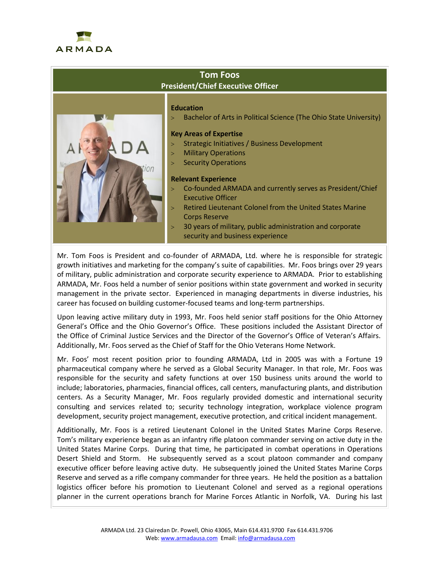

## **Tom Foos President/Chief Executive Officer**



### **Education**

Bachelor of Arts in Political Science (The Ohio State University)

#### **Key Areas of Expertise**

- Strategic Initiatives / Business Development
- > Military Operations
- **Security Operations**

#### **Relevant Experience**

- Co-founded ARMADA and currently serves as President/Chief Executive Officer
- Retired Lieutenant Colonel from the United States Marine Corps Reserve
- 30 years of military, public administration and corporate security and business experience

Mr. Tom Foos is President and co-founder of ARMADA, Ltd. where he is responsible for strategic growth initiatives and marketing for the company's suite of capabilities. Mr. Foos brings over 29 years of military, public administration and corporate security experience to ARMADA. Prior to establishing ARMADA, Mr. Foos held a number of senior positions within state government and worked in security management in the private sector. Experienced in managing departments in diverse industries, his career has focused on building customer-focused teams and long-term partnerships.

Upon leaving active military duty in 1993, Mr. Foos held senior staff positions for the Ohio Attorney General's Office and the Ohio Governor's Office. These positions included the Assistant Director of the Office of Criminal Justice Services and the Director of the Governor's Office of Veteran's Affairs. Additionally, Mr. Foos served as the Chief of Staff for the Ohio Veterans Home Network.

Mr. Foos' most recent position prior to founding ARMADA, Ltd in 2005 was with a Fortune 19 pharmaceutical company where he served as a Global Security Manager. In that role, Mr. Foos was responsible for the security and safety functions at over 150 business units around the world to include; laboratories, pharmacies, financial offices, call centers, manufacturing plants, and distribution centers. As a Security Manager, Mr. Foos regularly provided domestic and international security consulting and services related to; security technology integration, workplace violence program development, security project management, executive protection, and critical incident management.

Additionally, Mr. Foos is a retired Lieutenant Colonel in the United States Marine Corps Reserve. Tom's military experience began as an infantry rifle platoon commander serving on active duty in the United States Marine Corps. During that time, he participated in combat operations in Operations Desert Shield and Storm. He subsequently served as a scout platoon commander and company executive officer before leaving active duty. He subsequently joined the United States Marine Corps Reserve and served as a rifle company commander for three years. He held the position as a battalion logistics officer before his promotion to Lieutenant Colonel and served as a regional operations planner in the current operations branch for Marine Forces Atlantic in Norfolk, VA. During his last